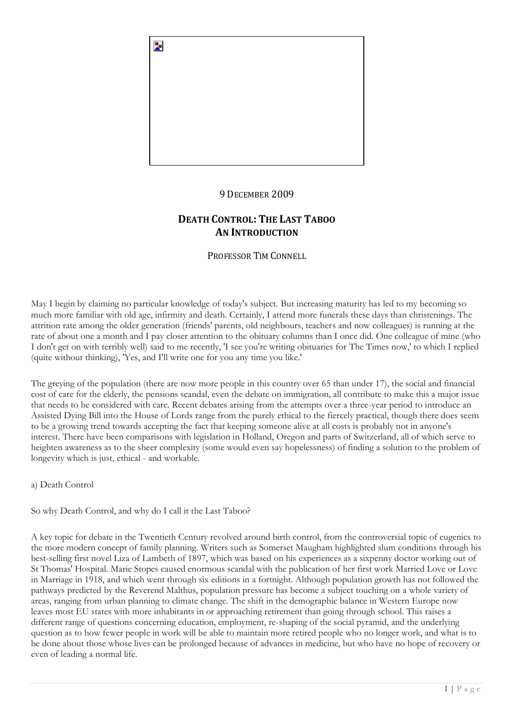

# 9 DECEMBER 2009

# **DEATH CONTROL: THE LAST TABOO AN INTRODUCTION**

PROFESSOR TIM CONNELL

May I begin by claiming no particular knowledge of today's subject. But increasing maturity has led to my becoming so much more familiar with old age, infirmity and death. Certainly, I attend more funerals these days than christenings. The attrition rate among the older generation (friends' parents, old neighbours, teachers and now colleagues) is running at the rate of about one a month and I pay closer attention to the obituary columns than I once did. One colleague of mine (who I don't get on with terribly well) said to me recently, 'I see you're writing obituaries for The Times now,' to which I replied (quite without thinking), 'Yes, and I'll write one for you any time you like.'

The greying of the population (there are now more people in this country over 65 than under 17), the social and financial cost of care for the elderly, the pensions scandal, even the debate on immigration, all contribute to make this a major issue that needs to be considered with care. Recent debates arising from the attempts over a three-year period to introduce an Assisted Dying Bill into the House of Lords range from the purely ethical to the fiercely practical, though there does seem to be a growing trend towards accepting the fact that keeping someone alive at all costs is probably not in anyone's interest. There have been comparisons with legislation in Holland, Oregon and parts of Switzerland, all of which serve to heighten awareness as to the sheer complexity (some would even say hopelessness) of finding a solution to the problem of longevity which is just, ethical - and workable.

a) Death Control

So why Death Control, and why do I call it the Last Taboo?

A key topic for debate in the Twentieth Century revolved around birth control, from the controversial topic of eugenics to the more modern concept of family planning. Writers such as Somerset Maugham highlighted slum conditions through his best-selling first novel Liza of Lambeth of 1897, which was based on his experiences as a sixpenny doctor working out of St Thomas' Hospital. Marie Stopes caused enormous scandal with the publication of her first work Married Love or Love in Marriage in 1918, and which went through six editions in a fortnight. Although population growth has not followed the pathways predicted by the Reverend Malthus, population pressure has become a subject touching on a whole variety of areas, ranging from urban planning to climate change. The shift in the demographic balance in Western Europe now leaves most EU states with more inhabitants in or approaching retirement than going through school. This raises a different range of questions concerning education, employment, re-shaping of the social pyramid, and the underlying question as to how fewer people in work will be able to maintain more retired people who no longer work, and what is to be done about those whose lives can be prolonged because of advances in medicine, but who have no hope of recovery or even of leading a normal life.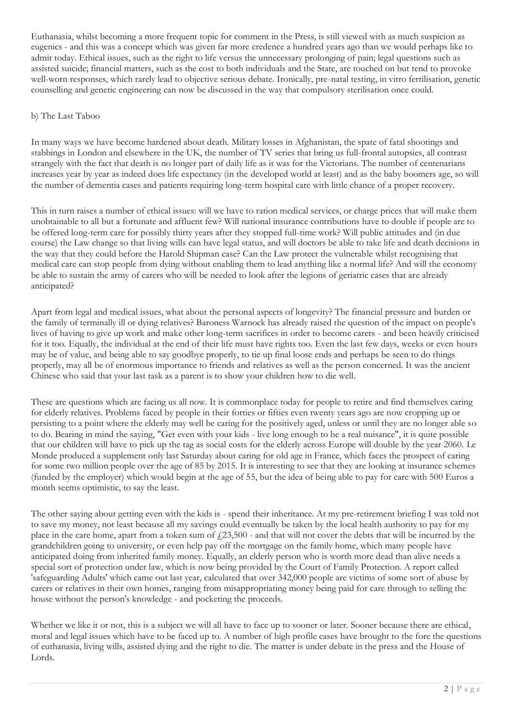Euthanasia, whilst becoming a more frequent topic for comment in the Press, is still viewed with as much suspicion as eugenics - and this was a concept which was given far more credence a hundred years ago than we would perhaps like to admit today. Ethical issues, such as the right to life versus the unnecessary prolonging of pain; legal questions such as assisted suicide; financial matters, such as the cost to both individuals and the State, are touched on but tend to provoke well-worn responses, which rarely lead to objective serious debate. Ironically, pre-natal testing, in vitro fertilisation, genetic counselling and genetic engineering can now be discussed in the way that compulsory sterilisation once could.

#### b) The Last Taboo

In many ways we have become hardened about death. Military losses in Afghanistan, the spate of fatal shootings and stabbings in London and elsewhere in the UK, the number of TV series that bring us full-frontal autopsies, all contrast strangely with the fact that death is no longer part of daily life as it was for the Victorians. The number of centenarians increases year by year as indeed does life expectancy (in the developed world at least) and as the baby boomers age, so will the number of dementia cases and patients requiring long-term hospital care with little chance of a proper recovery.

This in turn raises a number of ethical issues: will we have to ration medical services, or charge prices that will make them unobtainable to all but a fortunate and affluent few? Will national insurance contributions have to double if people are to be offered long-term care for possibly thirty years after they stopped full-time work? Will public attitudes and (in due course) the Law change so that living wills can have legal status, and will doctors be able to take life and death decisions in the way that they could before the Harold Shipman case? Can the Law protect the vulnerable whilst recognising that medical care can stop people from dying without enabling them to lead anything like a normal life? And will the economy be able to sustain the army of carers who will be needed to look after the legions of geriatric cases that are already anticipated?

Apart from legal and medical issues, what about the personal aspects of longevity? The financial pressure and burden or the family of terminally ill or dying relatives? Baroness Warnock has already raised the question of the impact on people's lives of having to give up work and make other long-term sacrifices in order to become carers - and been heavily criticised for it too. Equally, the individual at the end of their life must have rights too. Even the last few days, weeks or even hours may be of value, and being able to say goodbye properly, to tie up final loose ends and perhaps be seen to do things properly, may all be of enormous importance to friends and relatives as well as the person concerned. It was the ancient Chinese who said that your last task as a parent is to show your children how to die well.

These are questions which are facing us all now. It is commonplace today for people to retire and find themselves caring for elderly relatives. Problems faced by people in their forties or fifties even twenty years ago are now cropping up or persisting to a point where the elderly may well be caring for the positively aged, unless or until they are no longer able so to do. Bearing in mind the saying, "Get even with your kids - live long enough to be a real nuisance", it is quite possible that our children will have to pick up the tag as social costs for the elderly across Europe will double by the year 2060. Le Monde produced a supplement only last Saturday about caring for old age in France, which faces the prospect of caring for some two million people over the age of 85 by 2015. It is interesting to see that they are looking at insurance schemes (funded by the employer) which would begin at the age of 55, but the idea of being able to pay for care with 500 Euros a month seems optimistic, to say the least.

The other saying about getting even with the kids is - spend their inheritance. At my pre-retirement briefing I was told not to save my money, not least because all my savings could eventually be taken by the local health authority to pay for my place in the care home, apart from a token sum of  $f(23,500)$  - and that will not cover the debts that will be incurred by the grandchildren going to university, or even help pay off the mortgage on the family home, which many people have anticipated doing from inherited family money. Equally, an elderly person who is worth more dead than alive needs a special sort of protection under law, which is now being provided by the Court of Family Protection. A report called 'safeguarding Adults' which came out last year, calculated that over 342,000 people are victims of some sort of abuse by carers or relatives in their own homes, ranging from misappropriating money being paid for care through to selling the house without the person's knowledge - and pocketing the proceeds.

Whether we like it or not, this is a subject we will all have to face up to sooner or later. Sooner because there are ethical, moral and legal issues which have to be faced up to. A number of high profile cases have brought to the fore the questions of euthanasia, living wills, assisted dying and the right to die. The matter is under debate in the press and the House of Lords.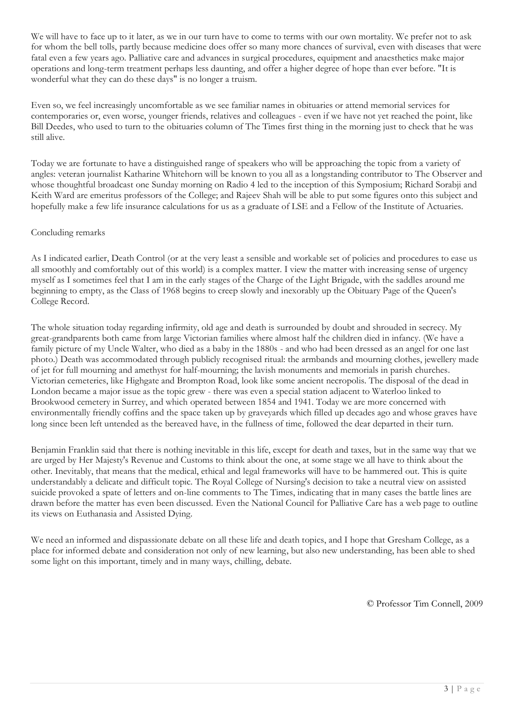We will have to face up to it later, as we in our turn have to come to terms with our own mortality. We prefer not to ask for whom the bell tolls, partly because medicine does offer so many more chances of survival, even with diseases that were fatal even a few years ago. Palliative care and advances in surgical procedures, equipment and anaesthetics make major operations and long-term treatment perhaps less daunting, and offer a higher degree of hope than ever before. "It is wonderful what they can do these days" is no longer a truism.

Even so, we feel increasingly uncomfortable as we see familiar names in obituaries or attend memorial services for contemporaries or, even worse, younger friends, relatives and colleagues - even if we have not yet reached the point, like Bill Deedes, who used to turn to the obituaries column of The Times first thing in the morning just to check that he was still alive.

Today we are fortunate to have a distinguished range of speakers who will be approaching the topic from a variety of angles: veteran journalist Katharine Whitehorn will be known to you all as a longstanding contributor to The Observer and whose thoughtful broadcast one Sunday morning on Radio 4 led to the inception of this Symposium; Richard Sorabji and Keith Ward are emeritus professors of the College; and Rajeev Shah will be able to put some figures onto this subject and hopefully make a few life insurance calculations for us as a graduate of LSE and a Fellow of the Institute of Actuaries.

#### Concluding remarks

As I indicated earlier, Death Control (or at the very least a sensible and workable set of policies and procedures to ease us all smoothly and comfortably out of this world) is a complex matter. I view the matter with increasing sense of urgency myself as I sometimes feel that I am in the early stages of the Charge of the Light Brigade, with the saddles around me beginning to empty, as the Class of 1968 begins to creep slowly and inexorably up the Obituary Page of the Queen's College Record.

The whole situation today regarding infirmity, old age and death is surrounded by doubt and shrouded in secrecy. My great-grandparents both came from large Victorian families where almost half the children died in infancy. (We have a family picture of my Uncle Walter, who died as a baby in the 1880s - and who had been dressed as an angel for one last photo.) Death was accommodated through publicly recognised ritual: the armbands and mourning clothes, jewellery made of jet for full mourning and amethyst for half-mourning; the lavish monuments and memorials in parish churches. Victorian cemeteries, like Highgate and Brompton Road, look like some ancient necropolis. The disposal of the dead in London became a major issue as the topic grew - there was even a special station adjacent to Waterloo linked to Brookwood cemetery in Surrey, and which operated between 1854 and 1941. Today we are more concerned with environmentally friendly coffins and the space taken up by graveyards which filled up decades ago and whose graves have long since been left untended as the bereaved have, in the fullness of time, followed the dear departed in their turn.

Benjamin Franklin said that there is nothing inevitable in this life, except for death and taxes, but in the same way that we are urged by Her Majesty's Revenue and Customs to think about the one, at some stage we all have to think about the other. Inevitably, that means that the medical, ethical and legal frameworks will have to be hammered out. This is quite understandably a delicate and difficult topic. The Royal College of Nursing's decision to take a neutral view on assisted suicide provoked a spate of letters and on-line comments to The Times, indicating that in many cases the battle lines are drawn before the matter has even been discussed. Even the National Council for Palliative Care has a web page to outline its views on Euthanasia and Assisted Dying.

We need an informed and dispassionate debate on all these life and death topics, and I hope that Gresham College, as a place for informed debate and consideration not only of new learning, but also new understanding, has been able to shed some light on this important, timely and in many ways, chilling, debate.

© Professor Tim Connell, 2009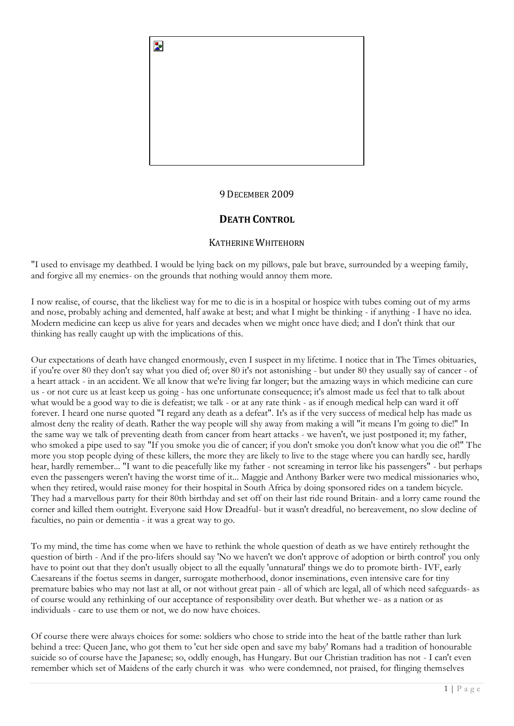

# 9 DECEMBER 2009

# **DEATH CONTROL**

# KATHERINE WHITEHORN

"I used to envisage my deathbed. I would be lying back on my pillows, pale but brave, surrounded by a weeping family, and forgive all my enemies- on the grounds that nothing would annoy them more.

I now realise, of course, that the likeliest way for me to die is in a hospital or hospice with tubes coming out of my arms and nose, probably aching and demented, half awake at best; and what I might be thinking - if anything - I have no idea. Modern medicine can keep us alive for years and decades when we might once have died; and I don't think that our thinking has really caught up with the implications of this.

Our expectations of death have changed enormously, even I suspect in my lifetime. I notice that in The Times obituaries, if you're over 80 they don't say what you died of; over 80 it's not astonishing - but under 80 they usually say of cancer - of a heart attack - in an accident. We all know that we're living far longer; but the amazing ways in which medicine can cure us - or not cure us at least keep us going - has one unfortunate consequence; it's almost made us feel that to talk about what would be a good way to die is defeatist; we talk - or at any rate think - as if enough medical help can ward it off forever. I heard one nurse quoted "I regard any death as a defeat". It's as if the very success of medical help has made us almost deny the reality of death. Rather the way people will shy away from making a will "it means I'm going to die!" In the same way we talk of preventing death from cancer from heart attacks - we haven't, we just postponed it; my father, who smoked a pipe used to say "If you smoke you die of cancer; if you don't smoke you don't know what you die of!" The more you stop people dying of these killers, the more they are likely to live to the stage where you can hardly see, hardly hear, hardly remember... "I want to die peacefully like my father - not screaming in terror like his passengers" - but perhaps even the passengers weren't having the worst time of it... Maggie and Anthony Barker were two medical missionaries who, when they retired, would raise money for their hospital in South Africa by doing sponsored rides on a tandem bicycle. They had a marvellous party for their 80th birthday and set off on their last ride round Britain- and a lorry came round the corner and killed them outright. Everyone said How Dreadful- but it wasn't dreadful, no bereavement, no slow decline of faculties, no pain or dementia - it was a great way to go.

To my mind, the time has come when we have to rethink the whole question of death as we have entirely rethought the question of birth - And if the pro-lifers should say 'No we haven't we don't approve of adoption or birth control' you only have to point out that they don't usually object to all the equally 'unnatural' things we do to promote birth- IVF, early Caesareans if the foetus seems in danger, surrogate motherhood, donor inseminations, even intensive care for tiny premature babies who may not last at all, or not without great pain - all of which are legal, all of which need safeguards- as of course would any rethinking of our acceptance of responsibility over death. But whether we- as a nation or as individuals - care to use them or not, we do now have choices.

Of course there were always choices for some: soldiers who chose to stride into the heat of the battle rather than lurk behind a tree: Queen Jane, who got them to 'cut her side open and save my baby' Romans had a tradition of honourable suicide so of course have the Japanese; so, oddly enough, has Hungary. But our Christian tradition has not - I can't even remember which set of Maidens of the early church it was who were condemned, not praised, for flinging themselves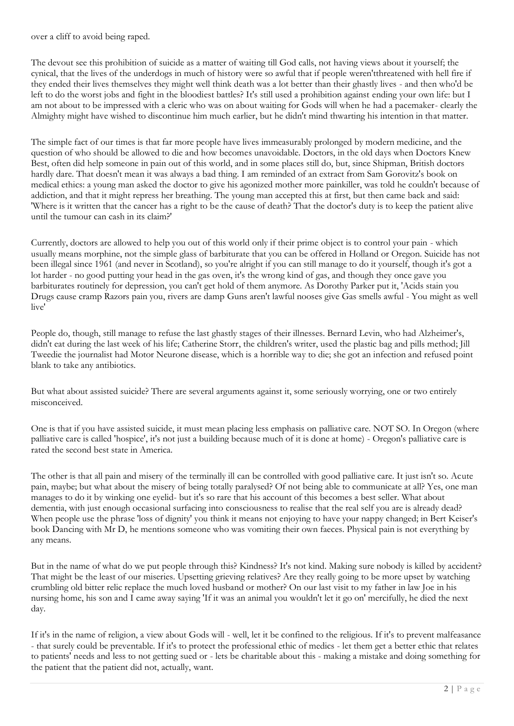over a cliff to avoid being raped.

The devout see this prohibition of suicide as a matter of waiting till God calls, not having views about it yourself; the cynical, that the lives of the underdogs in much of history were so awful that if people weren'tthreatened with hell fire if they ended their lives themselves they might well think death was a lot better than their ghastly lives - and then who'd be left to do the worst jobs and fight in the bloodiest battles? It's still used a prohibition against ending your own life: but I am not about to be impressed with a cleric who was on about waiting for Gods will when he had a pacemaker- clearly the Almighty might have wished to discontinue him much earlier, but he didn't mind thwarting his intention in that matter.

The simple fact of our times is that far more people have lives immeasurably prolonged by modern medicine, and the question of who should be allowed to die and how becomes unavoidable. Doctors, in the old days when Doctors Knew Best, often did help someone in pain out of this world, and in some places still do, but, since Shipman, British doctors hardly dare. That doesn't mean it was always a bad thing. I am reminded of an extract from Sam Gorovitz's book on medical ethics: a young man asked the doctor to give his agonized mother more painkiller, was told he couldn't because of addiction, and that it might repress her breathing. The young man accepted this at first, but then came back and said: 'Where is it written that the cancer has a right to be the cause of death? That the doctor's duty is to keep the patient alive until the tumour can cash in its claim?'

Currently, doctors are allowed to help you out of this world only if their prime object is to control your pain - which usually means morphine, not the simple glass of barbiturate that you can be offered in Holland or Oregon. Suicide has not been illegal since 1961 (and never in Scotland), so you're alright if you can still manage to do it yourself, though it's got a lot harder - no good putting your head in the gas oven, it's the wrong kind of gas, and though they once gave you barbiturates routinely for depression, you can't get hold of them anymore. As Dorothy Parker put it, 'Acids stain you Drugs cause cramp Razors pain you, rivers are damp Guns aren't lawful nooses give Gas smells awful - You might as well live'

People do, though, still manage to refuse the last ghastly stages of their illnesses. Bernard Levin, who had Alzheimer's, didn't eat during the last week of his life; Catherine Storr, the children's writer, used the plastic bag and pills method; Jill Tweedie the journalist had Motor Neurone disease, which is a horrible way to die; she got an infection and refused point blank to take any antibiotics.

But what about assisted suicide? There are several arguments against it, some seriously worrying, one or two entirely misconceived.

One is that if you have assisted suicide, it must mean placing less emphasis on palliative care. NOT SO. In Oregon (where palliative care is called 'hospice', it's not just a building because much of it is done at home) - Oregon's palliative care is rated the second best state in America.

The other is that all pain and misery of the terminally ill can be controlled with good palliative care. It just isn't so. Acute pain, maybe; but what about the misery of being totally paralysed? Of not being able to communicate at all? Yes, one man manages to do it by winking one eyelid- but it's so rare that his account of this becomes a best seller. What about dementia, with just enough occasional surfacing into consciousness to realise that the real self you are is already dead? When people use the phrase 'loss of dignity' you think it means not enjoying to have your nappy changed; in Bert Keiser's book Dancing with Mr D, he mentions someone who was vomiting their own faeces. Physical pain is not everything by any means.

But in the name of what do we put people through this? Kindness? It's not kind. Making sure nobody is killed by accident? That might be the least of our miseries. Upsetting grieving relatives? Are they really going to be more upset by watching crumbling old bitter relic replace the much loved husband or mother? On our last visit to my father in law Joe in his nursing home, his son and I came away saying 'If it was an animal you wouldn't let it go on' mercifully, he died the next day.

If it's in the name of religion, a view about Gods will - well, let it be confined to the religious. If it's to prevent malfeasance - that surely could be preventable. If it's to protect the professional ethic of medics - let them get a better ethic that relates to patients' needs and less to not getting sued or - lets be charitable about this - making a mistake and doing something for the patient that the patient did not, actually, want.